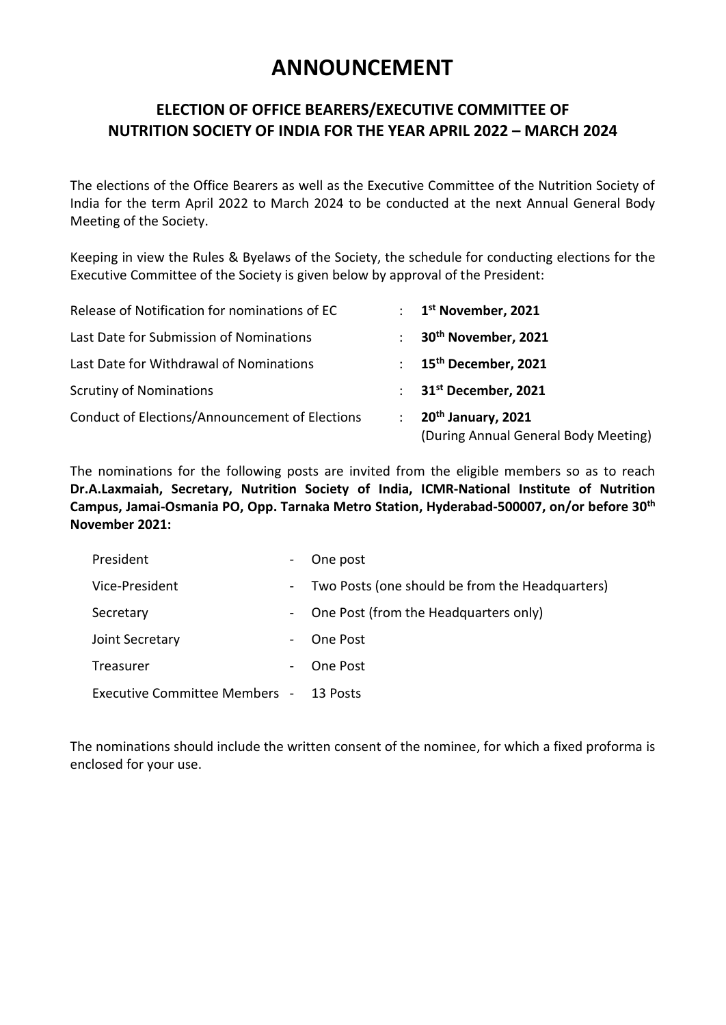# **ANNOUNCEMENT**

#### **ELECTION OF OFFICE BEARERS/EXECUTIVE COMMITTEE OF NUTRITION SOCIETY OF INDIA FOR THE YEAR APRIL 2022 – MARCH 2024**

The elections of the Office Bearers as well as the Executive Committee of the Nutrition Society of India for the term April 2022 to March 2024 to be conducted at the next Annual General Body Meeting of the Society.

Keeping in view the Rules & Byelaws of the Society, the schedule for conducting elections for the Executive Committee of the Society is given below by approval of the President:

| Release of Notification for nominations of EC         | $\mathcal{L}$  | 1 <sup>st</sup> November, 2021                                         |
|-------------------------------------------------------|----------------|------------------------------------------------------------------------|
| Last Date for Submission of Nominations               | ÷              | 30 <sup>th</sup> November, 2021                                        |
| Last Date for Withdrawal of Nominations               | $\mathcal{L}$  | 15 <sup>th</sup> December, 2021                                        |
| <b>Scrutiny of Nominations</b>                        | $\mathbb{R}^n$ | 31 <sup>st</sup> December, 2021                                        |
| <b>Conduct of Elections/Announcement of Elections</b> | ÷              | 20 <sup>th</sup> January, 2021<br>(During Annual General Body Meeting) |

The nominations for the following posts are invited from the eligible members so as to reach **Dr.A.Laxmaiah, Secretary, Nutrition Society of India, ICMR-National Institute of Nutrition Campus, Jamai-Osmania PO, Opp. Tarnaka Metro Station, Hyderabad-500007, on/or before 30th November 2021:**

| President                            |                 | One post                                        |
|--------------------------------------|-----------------|-------------------------------------------------|
| Vice-President                       | $\sim$ 10 $\pm$ | Two Posts (one should be from the Headquarters) |
| Secretary                            |                 | One Post (from the Headquarters only)           |
| Joint Secretary                      |                 | One Post                                        |
| Treasurer                            |                 | One Post                                        |
| <b>Executive Committee Members -</b> |                 | 13 Posts                                        |

The nominations should include the written consent of the nominee, for which a fixed proforma is enclosed for your use.